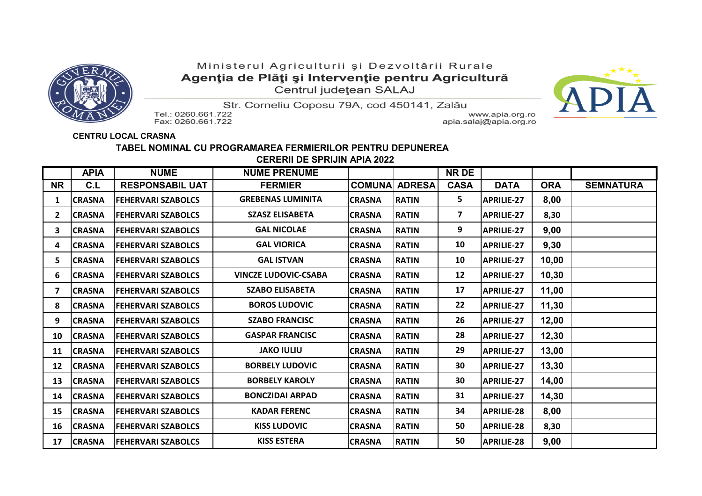

## Ministerul Agriculturii și Dezvoltării Rurale Agenția de Plăți și Intervenție pentru Agricultură Centrul județean SALAJ



Str. Corneliu Coposu 79A, cod 450141, Zalău Tel.: 0260.661.722

Fax: 0260.661.722

www.apia.org.ro apia.salaj@apia.org.ro

## **CENTRU LOCAL CRASNA**

## **TABEL NOMINAL CU PROGRAMAREA FERMIERILOR PENTRU DEPUNEREA CERERII DE SPRIJIN APIA 2022**

|           | <b>APIA</b>   | <b>NUME</b>               | <b>NUME PRENUME</b>         |                |               | <b>NR DE</b> |                   |            |                  |
|-----------|---------------|---------------------------|-----------------------------|----------------|---------------|--------------|-------------------|------------|------------------|
| <b>NR</b> | C.L           | <b>RESPONSABIL UAT</b>    | <b>FERMIER</b>              | <b>COMUNA</b>  | <b>ADRESA</b> | <b>CASA</b>  | <b>DATA</b>       | <b>ORA</b> | <b>SEMNATURA</b> |
| 1         | <b>CRASNA</b> | <b>FEHERVARI SZABOLCS</b> | <b>GREBENAS LUMINITA</b>    | <b>CRASNA</b>  | <b>RATIN</b>  | 5            | <b>APRILIE-27</b> | 8,00       |                  |
| 2         | <b>CRASNA</b> | <b>FEHERVARI SZABOLCS</b> | <b>SZASZ ELISABETA</b>      | <b>CRASNA</b>  | <b>RATIN</b>  | 7            | <b>APRILIE-27</b> | 8,30       |                  |
| 3         | <b>CRASNA</b> | <b>FEHERVARI SZABOLCS</b> | <b>GAL NICOLAE</b>          | <b>ICRASNA</b> | <b>RATIN</b>  | 9            | <b>APRILIE-27</b> | 9,00       |                  |
| 4         | <b>CRASNA</b> | <b>FEHERVARI SZABOLCS</b> | <b>GAL VIORICA</b>          | <b>CRASNA</b>  | <b>RATIN</b>  | 10           | <b>APRILIE-27</b> | 9,30       |                  |
| 5         | <b>CRASNA</b> | <b>FEHERVARI SZABOLCS</b> | <b>GAL ISTVAN</b>           | <b>ICRASNA</b> | <b>RATIN</b>  | 10           | <b>APRILIE-27</b> | 10,00      |                  |
| 6         | <b>CRASNA</b> | <b>FEHERVARI SZABOLCS</b> | <b>VINCZE LUDOVIC-CSABA</b> | <b>CRASNA</b>  | <b>RATIN</b>  | 12           | <b>APRILIE-27</b> | 10,30      |                  |
| 7         | <b>CRASNA</b> | <b>FEHERVARI SZABOLCS</b> | <b>SZABO ELISABETA</b>      | <b>CRASNA</b>  | <b>RATIN</b>  | 17           | <b>APRILIE-27</b> | 11,00      |                  |
| 8         | <b>CRASNA</b> | <b>FEHERVARI SZABOLCS</b> | <b>BOROS LUDOVIC</b>        | <b>CRASNA</b>  | <b>RATIN</b>  | 22           | <b>APRILIE-27</b> | 11,30      |                  |
| 9         | <b>CRASNA</b> | <b>FEHERVARI SZABOLCS</b> | <b>SZABO FRANCISC</b>       | <b>CRASNA</b>  | <b>RATIN</b>  | 26           | <b>APRILIE-27</b> | 12,00      |                  |
| 10        | <b>CRASNA</b> | <b>FEHERVARI SZABOLCS</b> | <b>GASPAR FRANCISC</b>      | <b>CRASNA</b>  | <b>RATIN</b>  | 28           | <b>APRILIE-27</b> | 12,30      |                  |
| 11        | <b>CRASNA</b> | <b>FEHERVARI SZABOLCS</b> | <b>JAKO IULIU</b>           | <b>CRASNA</b>  | <b>RATIN</b>  | 29           | <b>APRILIE-27</b> | 13,00      |                  |
| 12        | <b>CRASNA</b> | <b>FEHERVARI SZABOLCS</b> | <b>BORBELY LUDOVIC</b>      | <b>CRASNA</b>  | <b>RATIN</b>  | 30           | <b>APRILIE-27</b> | 13,30      |                  |
| 13        | <b>CRASNA</b> | <b>FEHERVARI SZABOLCS</b> | <b>BORBELY KAROLY</b>       | <b>CRASNA</b>  | <b>RATIN</b>  | 30           | <b>APRILIE-27</b> | 14,00      |                  |
| 14        | <b>CRASNA</b> | <b>FEHERVARI SZABOLCS</b> | <b>BONCZIDAI ARPAD</b>      | <b>CRASNA</b>  | <b>RATIN</b>  | 31           | <b>APRILIE-27</b> | 14,30      |                  |
| 15        | <b>CRASNA</b> | <b>FEHERVARI SZABOLCS</b> | <b>KADAR FERENC</b>         | <b>CRASNA</b>  | <b>RATIN</b>  | 34           | <b>APRILIE-28</b> | 8,00       |                  |
| 16        | <b>CRASNA</b> | <b>FEHERVARI SZABOLCS</b> | <b>KISS LUDOVIC</b>         | <b>CRASNA</b>  | <b>RATIN</b>  | 50           | <b>APRILIE-28</b> | 8,30       |                  |
| 17        | <b>CRASNA</b> | <b>FEHERVARI SZABOLCS</b> | <b>KISS ESTERA</b>          | <b>CRASNA</b>  | <b>RATIN</b>  | 50           | <b>APRILIE-28</b> | 9,00       |                  |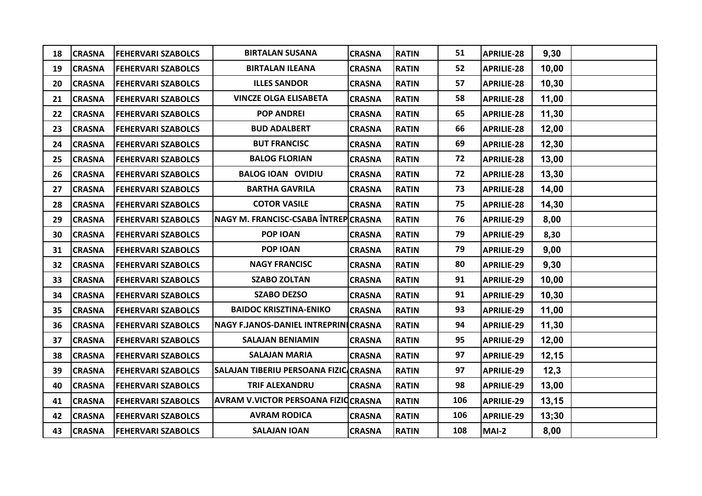| 18 | <b>CRASNA</b> | <b>FEHERVARI SZABOLCS</b> | <b>BIRTALAN SUSANA</b>                     | <b>CRASNA</b> | <b>RATIN</b> | 51  | <b>APRILIE-28</b> | 9,30   |  |
|----|---------------|---------------------------|--------------------------------------------|---------------|--------------|-----|-------------------|--------|--|
| 19 | <b>CRASNA</b> | <b>FEHERVARI SZABOLCS</b> | <b>BIRTALAN ILEANA</b>                     | <b>CRASNA</b> | <b>RATIN</b> | 52  | <b>APRILIE-28</b> | 10,00  |  |
| 20 | <b>CRASNA</b> | <b>FEHERVARI SZABOLCS</b> | <b>ILLES SANDOR</b>                        | <b>CRASNA</b> | <b>RATIN</b> | 57  | <b>APRILIE-28</b> | 10,30  |  |
| 21 | <b>CRASNA</b> | <b>FEHERVARI SZABOLCS</b> | <b>VINCZE OLGA ELISABETA</b>               | <b>CRASNA</b> | <b>RATIN</b> | 58  | <b>APRILIE-28</b> | 11,00  |  |
| 22 | <b>CRASNA</b> | <b>FEHERVARI SZABOLCS</b> | <b>POP ANDREI</b>                          | <b>CRASNA</b> | <b>RATIN</b> | 65  | <b>APRILIE-28</b> | 11,30  |  |
| 23 | <b>CRASNA</b> | <b>FEHERVARI SZABOLCS</b> | <b>BUD ADALBERT</b>                        | <b>CRASNA</b> | <b>RATIN</b> | 66  | <b>APRILIE-28</b> | 12,00  |  |
| 24 | <b>CRASNA</b> | <b>FEHERVARI SZABOLCS</b> | <b>BUT FRANCISC</b>                        | <b>CRASNA</b> | <b>RATIN</b> | 69  | <b>APRILIE-28</b> | 12,30  |  |
| 25 | <b>CRASNA</b> | <b>FEHERVARI SZABOLCS</b> | <b>BALOG FLORIAN</b>                       | <b>CRASNA</b> | <b>RATIN</b> | 72  | <b>APRILIE-28</b> | 13,00  |  |
| 26 | <b>CRASNA</b> | <b>FEHERVARI SZABOLCS</b> | <b>BALOG IOAN OVIDIU</b>                   | <b>CRASNA</b> | <b>RATIN</b> | 72  | <b>APRILIE-28</b> | 13,30  |  |
| 27 | <b>CRASNA</b> | <b>FEHERVARI SZABOLCS</b> | <b>BARTHA GAVRILA</b>                      | <b>CRASNA</b> | <b>RATIN</b> | 73  | <b>APRILIE-28</b> | 14,00  |  |
| 28 | <b>CRASNA</b> | <b>FEHERVARI SZABOLCS</b> | <b>COTOR VASILE</b>                        | <b>CRASNA</b> | <b>RATIN</b> | 75  | <b>APRILIE-28</b> | 14,30  |  |
| 29 | <b>CRASNA</b> | <b>FEHERVARI SZABOLCS</b> | NAGY M. FRANCISC-CSABA ÎNTREP CRASNA       |               | <b>RATIN</b> | 76  | <b>APRILIE-29</b> | 8,00   |  |
| 30 | <b>CRASNA</b> | <b>FEHERVARI SZABOLCS</b> | POP IOAN                                   | <b>CRASNA</b> | <b>RATIN</b> | 79  | <b>APRILIE-29</b> | 8,30   |  |
| 31 | <b>CRASNA</b> | <b>FEHERVARI SZABOLCS</b> | POP IOAN                                   | <b>CRASNA</b> | <b>RATIN</b> | 79  | <b>APRILIE-29</b> | 9,00   |  |
| 32 | <b>CRASNA</b> | <b>FEHERVARI SZABOLCS</b> | <b>NAGY FRANCISC</b>                       | <b>CRASNA</b> | <b>RATIN</b> | 80  | <b>APRILIE-29</b> | 9,30   |  |
| 33 | <b>CRASNA</b> | <b>FEHERVARI SZABOLCS</b> | <b>SZABO ZOLTAN</b>                        | <b>CRASNA</b> | <b>RATIN</b> | 91  | <b>APRILIE-29</b> | 10,00  |  |
| 34 | <b>CRASNA</b> | <b>FEHERVARI SZABOLCS</b> | <b>SZABO DEZSO</b>                         | <b>CRASNA</b> | <b>RATIN</b> | 91  | <b>APRILIE-29</b> | 10,30  |  |
| 35 | <b>CRASNA</b> | <b>FEHERVARI SZABOLCS</b> | <b>BAIDOC KRISZTINA-ENIKO</b>              | <b>CRASNA</b> | <b>RATIN</b> | 93  | <b>APRILIE-29</b> | 11,00  |  |
| 36 | <b>CRASNA</b> | <b>FEHERVARI SZABOLCS</b> | NAGY F.JANOS-DANIEL INTREPRINICRASNA       |               | <b>RATIN</b> | 94  | <b>APRILIE-29</b> | 11,30  |  |
| 37 | <b>CRASNA</b> | <b>FEHERVARI SZABOLCS</b> | <b>SALAJAN BENIAMIN</b>                    | <b>CRASNA</b> | <b>RATIN</b> | 95  | <b>APRILIE-29</b> | 12,00  |  |
| 38 | <b>CRASNA</b> | <b>FEHERVARI SZABOLCS</b> | <b>SALAJAN MARIA</b>                       | <b>CRASNA</b> | <b>RATIN</b> | 97  | <b>APRILIE-29</b> | 12, 15 |  |
| 39 | <b>CRASNA</b> | <b>FEHERVARI SZABOLCS</b> | SALAJAN TIBERIU PERSOANA FIZIC CRASNA      |               | <b>RATIN</b> | 97  | <b>APRILIE-29</b> | 12,3   |  |
| 40 | <b>CRASNA</b> | <b>FEHERVARI SZABOLCS</b> | <b>TRIF ALEXANDRU</b>                      | <b>CRASNA</b> | <b>RATIN</b> | 98  | <b>APRILIE-29</b> | 13,00  |  |
| 41 | <b>CRASNA</b> | <b>FEHERVARI SZABOLCS</b> | <b>AVRAM V.VICTOR PERSOANA FIZIQCRASNA</b> |               | <b>RATIN</b> | 106 | <b>APRILIE-29</b> | 13,15  |  |
| 42 | <b>CRASNA</b> | <b>FEHERVARI SZABOLCS</b> | <b>AVRAM RODICA</b>                        | <b>CRASNA</b> | <b>RATIN</b> | 106 | <b>APRILIE-29</b> | 13;30  |  |
| 43 | <b>CRASNA</b> | <b>FEHERVARI SZABOLCS</b> | <b>SALAJAN IOAN</b>                        | <b>CRASNA</b> | <b>RATIN</b> | 108 | MAI-2             | 8,00   |  |